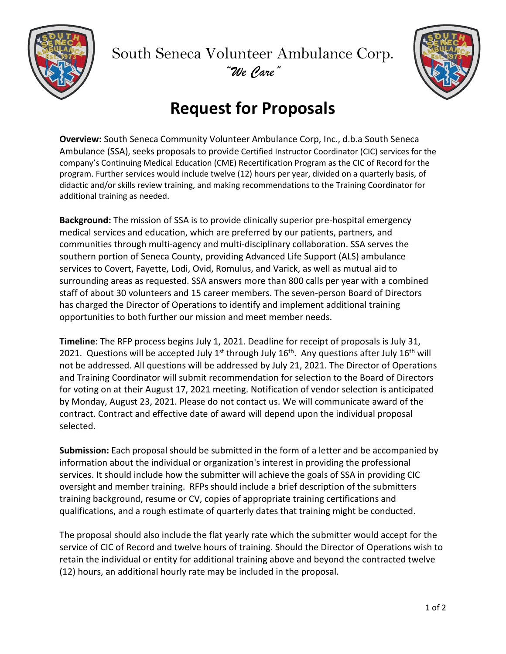

South Seneca Volunteer Ambulance Corp. *"We Care"*



## **Request for Proposals**

**Overview:** South Seneca Community Volunteer Ambulance Corp, Inc., d.b.a South Seneca Ambulance (SSA), seeks proposals to provide Certified Instructor Coordinator (CIC) services for the company's Continuing Medical Education (CME) Recertification Program as the CIC of Record for the program. Further services would include twelve (12) hours per year, divided on a quarterly basis, of didactic and/or skills review training, and making recommendations to the Training Coordinator for additional training as needed.

**Background:** The mission of SSA is to provide clinically superior pre-hospital emergency medical services and education, which are preferred by our patients, partners, and communities through multi-agency and multi-disciplinary collaboration. SSA serves the southern portion of Seneca County, providing Advanced Life Support (ALS) ambulance services to Covert, Fayette, Lodi, Ovid, Romulus, and Varick, as well as mutual aid to surrounding areas as requested. SSA answers more than 800 calls per year with a combined staff of about 30 volunteers and 15 career members. The seven-person Board of Directors has charged the Director of Operations to identify and implement additional training opportunities to both further our mission and meet member needs.

**Timeline**: The RFP process begins July 1, 2021. Deadline for receipt of proposals is July 31, 2021. Questions will be accepted July 1<sup>st</sup> through July 16<sup>th</sup>. Any questions after July 16<sup>th</sup> will not be addressed. All questions will be addressed by July 21, 2021. The Director of Operations and Training Coordinator will submit recommendation for selection to the Board of Directors for voting on at their August 17, 2021 meeting. Notification of vendor selection is anticipated by Monday, August 23, 2021. Please do not contact us. We will communicate award of the contract. Contract and effective date of award will depend upon the individual proposal selected.

**Submission:** Each proposal should be submitted in the form of a letter and be accompanied by information about the individual or organization's interest in providing the professional services. It should include how the submitter will achieve the goals of SSA in providing CIC oversight and member training. RFPs should include a brief description of the submitters training background, resume or CV, copies of appropriate training certifications and qualifications, and a rough estimate of quarterly dates that training might be conducted.

The proposal should also include the flat yearly rate which the submitter would accept for the service of CIC of Record and twelve hours of training. Should the Director of Operations wish to retain the individual or entity for additional training above and beyond the contracted twelve (12) hours, an additional hourly rate may be included in the proposal.